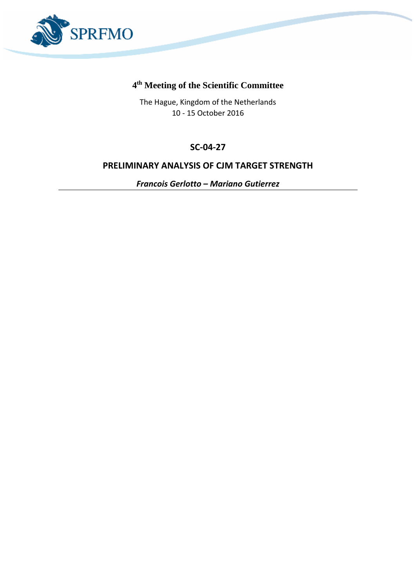

# **4 th Meeting of the Scientific Committee**

The Hague, Kingdom of the Netherlands 10 - 15 October 2016

# **SC-04-27**

## **PRELIMINARY ANALYSIS OF CJM TARGET STRENGTH**

*Francois Gerlotto – Mariano Gutierrez*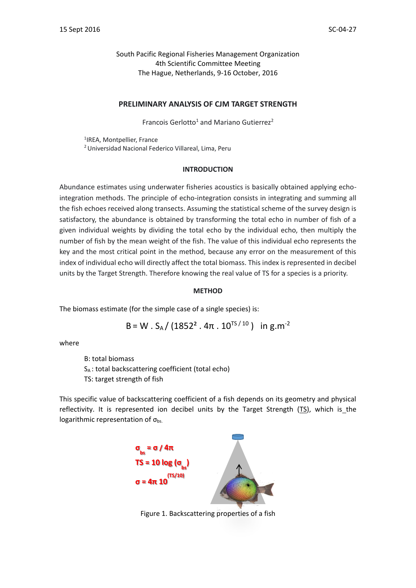South Pacific Regional Fisheries Management Organization 4th Scientific Committee Meeting The Hague, Netherlands, 9-16 October, 2016

### **PRELIMINARY ANALYSIS OF CJM TARGET STRENGTH**

Francois Gerlotto<sup>1</sup> and Mariano Gutierrez<sup>2</sup>

1 IREA, Montpellier, France <sup>2</sup>Universidad Nacional Federico Villareal, Lima, Peru

#### **INTRODUCTION**

Abundance estimates using underwater fisheries acoustics is basically obtained applying echointegration methods. The principle of echo-integration consists in integrating and summing all the fish echoes received along transects. Assuming the statistical scheme of the survey design is satisfactory, the abundance is obtained by transforming the total echo in number of fish of a given individual weights by dividing the total echo by the individual echo, then multiply the number of fish by the mean weight of the fish. The value of this individual echo represents the key and the most critical point in the method, because any error on the measurement of this index of individual echo will directly affect the total biomass. This index is represented in decibel units by the Target Strength. Therefore knowing the real value of TS for a species is a priority.

### **METHOD**

The biomass estimate (for the simple case of a single species) is:

B = W . S<sub>A</sub> / (1852<sup>2</sup> . 4
$$
\pi
$$
 . 10<sup>TS/10</sup>) in g.m<sup>-2</sup>

where

B: total biomass S<sup>A</sup> : total backscattering coefficient (total echo)

TS: target strength of fish

This specific value of backscattering coefficient of a fish depends on its geometry and physical reflectivity. It is represented ion decibel units by the Target Strength (TS), which is the logarithmic representation of  $\sigma_{\text{bs}}$ .



Figure 1. Backscatteri[ng properties of a fish](http://enciclopedia.us.es/index.php/Imagen:Esfera.png)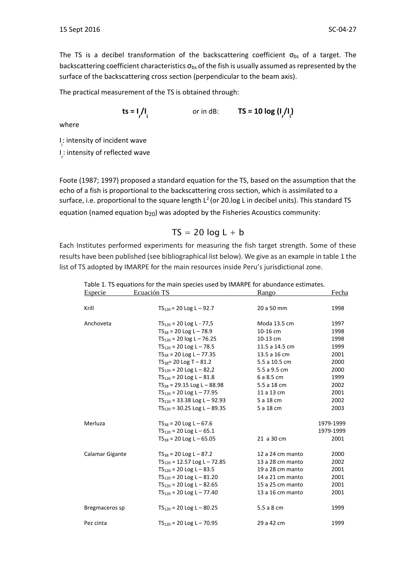The TS is a decibel transformation of the backscattering coefficient  $\sigma_{bs}$  of a target. The backscattering coefficient characteristics  $\sigma_{bs}$  of the fish is usually assumed as represented by the surface of the backscattering cross section (perpendicular to the beam axis).

The practical measurement of the TS is obtained through:

$$
\mathsf{ts} = \mathsf{I} \big/ \mathsf{I} \big|_{\mathsf{i}} \qquad \qquad \text{or in dB:} \qquad \mathsf{TS} = \mathsf{10} \log \big( \mathsf{I} \big/ \mathsf{I} \big|_{\mathsf{i}} \big)
$$

where

I i : intensity of incident wave I r : intensity of reflected wave

Foote (1987; 1997) proposed a standard equation for the TS, based on the assumption that the echo of a fish is proportional to the backscattering cross section, which is assimilated to a surface, i.e. proportional to the square length  $L^2$  (or 20.log L in decibel units). This standard TS equation (named equation  $b_{20}$ ) was adopted by the Fisheries Acoustics community:

### $TS = 20 log L + b$

Each Institutes performed experiments for measuring the fish target strength. Some of these results have been published (see bibliographical list below). We give as an example in table 1 the list of TS adopted by IMARPE for the main resources inside Peru's jurisdictional zone.

Table 1. TS equations for the main species used by IMARPE for abundance estimates.<br>Especie Revealed TS

| <b>Especie</b>  | Ecuación TS                      | <u>Rango</u>     | Fecha     |
|-----------------|----------------------------------|------------------|-----------|
|                 |                                  |                  |           |
| Krill           | $TS_{120} = 20$ Log L - 92.7     | 20 a 50 mm       | 1998      |
| Anchoveta       | $TS_{120} = 20$ Log L - 77,5     | Moda 13.5 cm     | 1997      |
|                 | $TS_{38} = 20$ Log L - 78.9      | 10-16 cm         | 1998      |
|                 | $TS_{120} = 20$ log L - 76.25    | 10-13 cm         | 1998      |
|                 | $TS_{120} = 20$ Log L - 78.5     | 11.5 a 14.5 cm   | 1999      |
|                 | $TS_{38} = 20$ Log L - 77.35     | 13.5 a 16 cm     | 2001      |
|                 | $TS_{38} = 20$ Log T $- 81.2$    | 5.5 a 10.5 cm    | 2000      |
|                 | $TS_{120} = 20$ Log L - 82,2     | 5.5 a 9.5 cm     | 2000      |
|                 | $TS_{120} = 20$ Log L - 81.8     | 6 a 8.5 cm       | 1999      |
|                 | $TS_{38} = 29.15$ Log L - 88.98  | 5.5 a 18 cm      | 2002      |
|                 | $TS_{120} = 20$ Log L - 77.95    | 11 a 13 cm       | 2001      |
|                 | $TS_{120}$ = 33.38 Log L – 92.93 | 5 a 18 cm        | 2002      |
|                 | $TS_{120}$ = 30.25 Log L – 89.35 | 5 a 18 cm        | 2003      |
| Merluza         | $TS_{38} = 20$ Log L $- 67.6$    |                  | 1979-1999 |
|                 | $TS_{120} = 20$ Log L – 65.1     |                  | 1979-1999 |
|                 | $TS_{38} = 20$ Log L $- 65.05$   | 21 a 30 cm       | 2001      |
| Calamar Gigante | $TS_{38} = 20$ Log L $- 87.2$    | 12 a 24 cm manto | 2000      |
|                 | $TS_{120}$ = 12.57 Log L – 72.85 | 13 a 28 cm manto | 2002      |
|                 | $TS_{120} = 20$ Log L - 83.5     | 19 a 28 cm manto | 2001      |
|                 | $TS_{120} = 20$ Log L - 81.20    | 14 a 21 cm manto | 2001      |
|                 | $TS_{120} = 20$ Log L - 82.65    | 15 a 25 cm manto | 2001      |
|                 | $TS_{120} = 20$ Log L - 77.40    | 13 a 16 cm manto | 2001      |
| Bregmaceros sp  | $TS_{120} = 20$ Log L - 80.25    | 5.5 a 8 cm       | 1999      |
| Pez cinta       | $TS_{120} = 20$ Log L - 70.95    | 29 a 42 cm       | 1999      |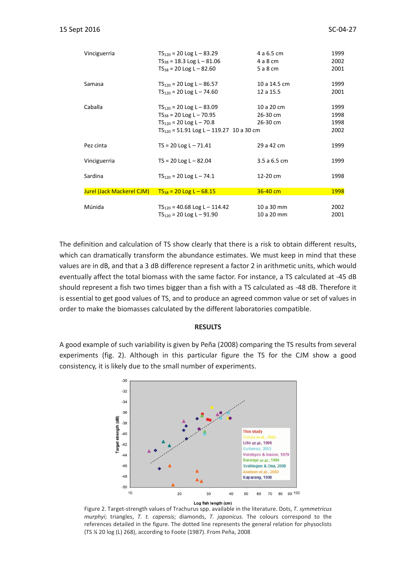| Vinciguerria              | $TS_{120} = 20$ Log L – 83.29<br>$TS_{38} = 18.3$ Log L - 81.06<br>$TS_{38} = 20$ Log L $- 82.60$                                             | 4 a 6.5 cm<br>4 a 8 cm<br>5 a 8 cm | 1999<br>2002<br>2001         |
|---------------------------|-----------------------------------------------------------------------------------------------------------------------------------------------|------------------------------------|------------------------------|
| Samasa                    | $TS_{120} = 20$ Log L – 86.57<br>$TS_{120} = 20$ Log L – 74.60                                                                                | 10 a 14.5 cm<br>12 a 15.5          | 1999<br>2001                 |
| Caballa                   | $TS_{120} = 20$ Log L – 83.09<br>$TS_{38} = 20$ Log L - 70.95<br>$TS_{120} = 20$ Log L – 70.8<br>$TS_{120} = 51.91$ Log L - 119.27 10 a 30 cm | 10 a 20 cm<br>26-30 cm<br>26-30 cm | 1999<br>1998<br>1998<br>2002 |
| Pez cinta                 | $TS = 20$ Log L $- 71.41$                                                                                                                     | 29 a 42 cm                         | 1999                         |
| Vinciguerria              | $TS = 20$ Log L $- 82.04$                                                                                                                     | 3.5 a 6.5 cm                       | 1999                         |
| Sardina                   | $TS_{120} = 20$ Log L - 74.1                                                                                                                  | 12-20 cm                           | 1998                         |
| Jurel (Jack Mackerel CJM) | $TS_{38} = 20$ Log L – 68.15                                                                                                                  | $36 - 40$ cm                       | 1998                         |
| Múnida                    | $TS_{120}$ = 40.68 Log L – 114.42<br>$TS_{120} = 20$ Log L - 91.90                                                                            | 10 a 30 mm<br>10 a 20 mm           | 2002<br>2001                 |

The definition and calculation of TS show clearly that there is a risk to obtain different results, which can dramatically transform the abundance estimates. We must keep in mind that these values are in dB, and that a 3 dB difference represent a factor 2 in arithmetic units, which would eventually affect the total biomass with the same factor. For instance, a TS calculated at -45 dB should represent a fish two times bigger than a fish with a TS calculated as -48 dB. Therefore it is essential to get good values of TS, and to produce an agreed common value or set of values in order to make the biomasses calculated by the different laboratories compatible.

#### **RESULTS**

A good example of such variability is given by Peña (2008) comparing the TS results from several experiments (fig. 2). Although in this particular figure the TS for the CJM show a good consistency, it is likely due to the small number of experiments.



Figure 2. Target-strength values of Trachurus spp. available in the literature. Dots, *T. symmetricus murphyi*; triangles, *T. t. capensis*; diamonds, *T. japonicus*. The colours correspond to the references detailed in the figure. The dotted line represents the general relation for physoclists (TS ¼ 20 log (L) 268), according to Foote (1987). From Peña, 2008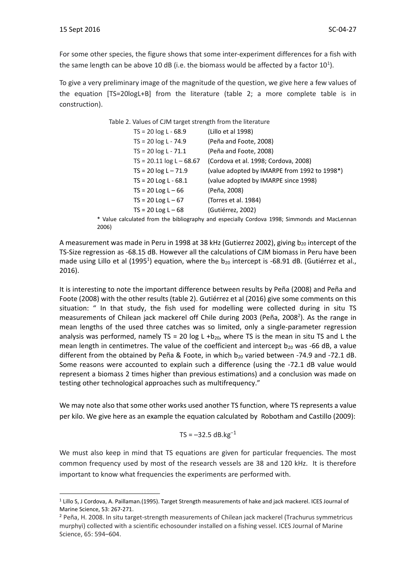1

For some other species, the figure shows that some inter-experiment differences for a fish with the same length can be above 10 dB (i.e. the biomass would be affected by a factor 10<sup>1</sup>).

To give a very preliminary image of the magnitude of the question, we give here a few values of the equation [TS=20logL+B] from the literature (table 2; a more complete table is in construction).

| Table 2. Values of CJM target strength from the literature |                                              |  |  |
|------------------------------------------------------------|----------------------------------------------|--|--|
| $TS = 20 log L - 68.9$                                     | (Lillo et al 1998)                           |  |  |
| $TS = 20 log L - 74.9$                                     | (Peña and Foote, 2008)                       |  |  |
| $TS = 20 log L - 71.1$                                     | (Peña and Foote, 2008)                       |  |  |
| $TS = 20.11 \log L - 68.67$                                | (Cordova et al. 1998; Cordova, 2008)         |  |  |
| $TS = 20 log L - 71.9$                                     | (value adopted by IMARPE from 1992 to 1998*) |  |  |
| $TS = 20$ Log L - 68.1                                     | (value adopted by IMARPE since 1998)         |  |  |
| $TS = 20$ Log L $-66$                                      | (Peña, 2008)                                 |  |  |
| $TS = 20$ Log L $-67$                                      | (Torres et al. 1984)                         |  |  |
| $TS = 20$ Log L $-68$                                      | (Gutiérrez, 2002)                            |  |  |
|                                                            |                                              |  |  |

\* Value calculated from the bibliography and especially Cordova 1998; Simmonds and MacLennan 2006)

A measurement was made in Peru in 1998 at 38 kHz (Gutierrez 2002), giving  $b_{20}$  intercept of the TS-Size regression as -68.15 dB. However all the calculations of CJM biomass in Peru have been made using Lillo et al (1995<sup>1</sup>) equation, where the  $b_{20}$  intercept is -68.91 dB. (Gutiérrez et al., 2016).

It is interesting to note the important difference between results by Peña (2008) and Peña and Foote (2008) with the other results (table 2). Gutiérrez et al (2016) give some comments on this situation: " In that study, the fish used for modelling were collected during in situ TS measurements of Chilean jack mackerel off Chile during 2003 (Peña, 2008<sup>2</sup>). As the range in mean lengths of the used three catches was so limited, only a single-parameter regression analysis was performed, namely TS = 20 log L +b<sub>20</sub>, where TS is the mean in situ TS and L the mean length in centimetres. The value of the coefficient and intercept  $b_{20}$  was -66 dB, a value different from the obtained by Peña & Foote, in which  $b_{20}$  varied between -74.9 and -72.1 dB. Some reasons were accounted to explain such a difference (using the -72.1 dB value would represent a biomass 2 times higher than previous estimations) and a conclusion was made on testing other technological approaches such as multifrequency."

We may note also that some other works used another TS function, where TS represents a value per kilo. We give here as an example the equation calculated by Robotham and Castillo (2009):

$$
TS = -32.5 \text{ dB} \cdot \text{kg}^{-1}
$$

We must also keep in mind that TS equations are given for particular frequencies. The most common frequency used by most of the research vessels are 38 and 120 kHz. It is therefore important to know what frequencies the experiments are performed with.

<sup>&</sup>lt;sup>1</sup> Lillo S, J Cordova, A. Paillaman.(1995). Target Strength measurements of hake and jack mackerel. ICES Journal of Marine Science, 53: 267-271.

<sup>2</sup> Peña, H. 2008. In situ target-strength measurements of Chilean jack mackerel (Trachurus symmetricus murphyi) collected with a scientific echosounder installed on a fishing vessel. ICES Journal of Marine Science, 65: 594–604.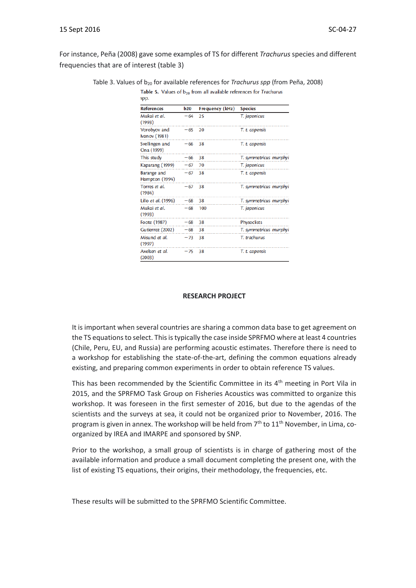For instance, Peña (2008) gave some examples of TS for different *Trachurus* species and different frequencies that are of interest (table 3)

| <b>References</b>                    | <b>b20</b> | Frequency (kHz) | <b>Species</b>         |
|--------------------------------------|------------|-----------------|------------------------|
| Mukai et al.<br>(1993)               | $-64$      | 25              | T. japonicus           |
| Vorobyov and<br><b>Ivanov</b> (1981) | $-65$      | 20              | T. t. capensis         |
| Svellingen and<br>Ona (1999)         | $-66$      | 38              | T. t. capensis         |
| This study                           | $-66$      | 38              | T. symmetricus murphyi |
| Kaparang (1999)                      | $-67$      | 70              | T. japonicus           |
| Barange and<br>Hampton (1994)        | $-67$      | 38              | T. t. capensis         |
| Torres et al.<br>(1984)              | $-67$      | 38              | T. symmetricus murphyi |
| Lillo et al. (1996)                  | $-68$      | 38              | T. symmetricus murphyi |
| Mukai et al.<br>(1993)               | $-68$      | 100             | T. japonicus           |
| Foote (1987)                         | $-68$      | 38              | Physoclists            |
| Gutierrez (2002)                     | $-68$      | 38              | T. symmetricus murphyi |
| Misund et al.<br>(1997)              | $-73$      | 38              | T. trachurus           |
| Axelsen et al.<br>(2003)             | $-75$      | 38              | T. t. capensis         |

Table 3. Values of b<sub>20</sub> for available references for *Trachurus spp* (from Peña, 2008) Table 5. Values of  $b_{20}$  from all available references for Trachurus

### **RESEARCH PROJECT**

It is important when several countries are sharing a common data base to get agreement on the TS equations to select. This is typically the case inside SPRFMO where at least 4 countries (Chile, Peru, EU, and Russia) are performing acoustic estimates. Therefore there is need to a workshop for establishing the state-of-the-art, defining the common equations already existing, and preparing common experiments in order to obtain reference TS values.

This has been recommended by the Scientific Committee in its 4<sup>th</sup> meeting in Port Vila in 2015, and the SPRFMO Task Group on Fisheries Acoustics was committed to organize this workshop. It was foreseen in the first semester of 2016, but due to the agendas of the scientists and the surveys at sea, it could not be organized prior to November, 2016. The program is given in annex. The workshop will be held from  $7<sup>th</sup>$  to  $11<sup>th</sup>$  November, in Lima, coorganized by IREA and IMARPE and sponsored by SNP.

Prior to the workshop, a small group of scientists is in charge of gathering most of the available information and produce a small document completing the present one, with the list of existing TS equations, their origins, their methodology, the frequencies, etc.

These results will be submitted to the SPRFMO Scientific Committee.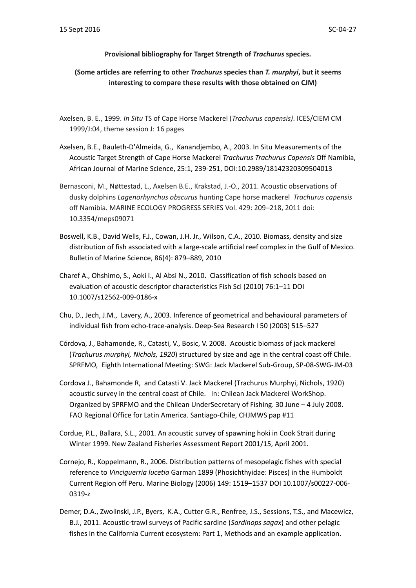### **Provisional bibliography for Target Strength of** *Trachurus* **species.**

### **(Some articles are referring to other** *Trachurus* **species than** *T. murphyi***, but it seems interesting to compare these results with those obtained on CJM)**

- Axelsen, B. E., 1999. *In Situ* TS of Cape Horse Mackerel (*Trachurus capensis)*. ICES/CIEM CM 1999/J:04, theme session J: 16 pages
- Axelsen, B.E., Bauleth-D'Almeida, G., Kanandjembo, A., 2003. In Situ Measurements of the Acoustic Target Strength of Cape Horse Mackerel *Trachurus Trachurus Capensis* Off Namibia, African Journal of Marine Science, 25:1, 239-251, DOI:10.2989/18142320309504013
- Bernasconi, M., Nøttestad, L., Axelsen B.E., Krakstad, J.-O., 2011. Acoustic observations of dusky dolphins *Lagenorhynchus obscurus* hunting Cape horse mackerel *Trachurus capensis*  off Namibia. MARINE ECOLOGY PROGRESS SERIES Vol. 429: 209–218, 2011 doi: 10.3354/meps09071
- Boswell, K.B., David Wells, F.J., Cowan, J.H. Jr., Wilson, C.A., 2010. Biomass, density and size distribution of fish associated with a large-scale artificial reef complex in the Gulf of Mexico. Bulletin of Marine Science, 86(4): 879–889, 2010
- Charef A., Ohshimo, S., Aoki I., Al Absi N., 2010. Classification of fish schools based on evaluation of acoustic descriptor characteristics Fish Sci (2010) 76:1–11 DOI 10.1007/s12562-009-0186-x
- Chu, D., Jech, J.M., Lavery, A., 2003. Inference of geometrical and behavioural parameters of individual fish from echo-trace-analysis. Deep-Sea Research I 50 (2003) 515–527
- Córdova, J., Bahamonde, R., Catasti, V., Bosic, V. 2008. Acoustic biomass of jack mackerel (*Trachurus murphyi, Nichols, 1920*) structured by size and age in the central coast off Chile. SPRFMO, Eighth International Meeting: SWG: Jack Mackerel Sub-Group, SP-08-SWG-JM-03
- Cordova J., Bahamonde R, and Catasti V. Jack Mackerel (Trachurus Murphyi, Nichols, 1920) acoustic survey in the central coast of Chile. In: Chilean Jack Mackerel WorkShop. Organized by SPRFMO and the Chilean UnderSecretary of Fishing. 30 June – 4 July 2008. FAO Regional Office for Latin America. Santiago-Chile, CHJMWS pap #11
- Cordue, P.L., Ballara, S.L., 2001. An acoustic survey of spawning hoki in Cook Strait during Winter 1999. New Zealand Fisheries Assessment Report 2001/15, April 2001.
- Cornejo, R., Koppelmann, R., 2006. Distribution patterns of mesopelagic fishes with special reference to *Vinciguerria lucetia* Garman 1899 (Phosichthyidae: Pisces) in the Humboldt Current Region off Peru. Marine Biology (2006) 149: 1519–1537 DOI 10.1007/s00227-006- 0319-z
- Demer, D.A., Zwolinski, J.P., Byers, K.A., Cutter G.R., Renfree, J.S., Sessions, T.S., and Macewicz, B.J., 2011. Acoustic-trawl surveys of Pacific sardine (*Sardinops sagax*) and other pelagic fishes in the California Current ecosystem: Part 1, Methods and an example application.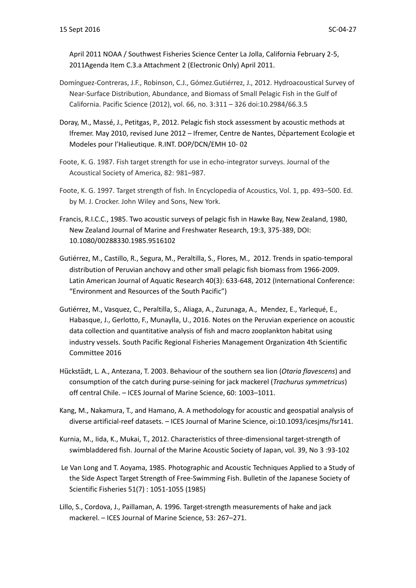April 2011 NOAA / Southwest Fisheries Science Center La Jolla, California February 2-5, 2011Agenda Item C.3.a Attachment 2 (Electronic Only) April 2011.

- Domínguez-Contreras, J.F., Robinson, C.J., Gómez.Gutiérrez, J., 2012. Hydroacoustical Survey of Near-Surface Distribution, Abundance, and Biomass of Small Pelagic Fish in the Gulf of California. Pacific Science (2012), vol. 66, no. 3:311 – 326 doi:10.2984/66.3.5
- Doray, M., Massé, J., Petitgas, P., 2012. Pelagic fish stock assessment by acoustic methods at Ifremer. May 2010, revised June 2012 – Ifremer, Centre de Nantes, Département Ecologie et Modeles pour l'Halieutique. R.INT. DOP/DCN/EMH 10- 02
- Foote, K. G. 1987. Fish target strength for use in echo-integrator surveys. Journal of the Acoustical Society of America, 82: 981–987.
- Foote, K. G. 1997. Target strength of fish. In Encyclopedia of Acoustics, Vol. 1, pp. 493–500. Ed. by M. J. Crocker. John Wiley and Sons, New York.
- Francis, R.I.C.C., 1985. Two acoustic surveys of pelagic fish in Hawke Bay, New Zealand, 1980, New Zealand Journal of Marine and Freshwater Research, 19:3, 375-389, DOI: 10.1080/00288330.1985.9516102
- Gutiérrez, M., Castillo, R., Segura, M., Peraltilla, S., Flores, M., 2012. Trends in spatio-temporal distribution of Peruvian anchovy and other small pelagic fish biomass from 1966-2009. Latin American Journal of Aquatic Research 40(3): 633-648, 2012 (International Conference: "Environment and Resources of the South Pacific")
- Gutiérrez, M., Vasquez, C., Peraltilla, S., Aliaga, A., Zuzunaga, A., Mendez, E., Yarlequé, E., Habasque, J., Gerlotto, F., Munaylla, U., 2016. Notes on the Peruvian experience on acoustic data collection and quantitative analysis of fish and macro zooplankton habitat using industry vessels. South Pacific Regional Fisheries Management Organization 4th Scientific Committee 2016
- Hückstädt, L. A., Antezana, T. 2003. Behaviour of the southern sea lion (*Otaria flavescens*) and consumption of the catch during purse-seining for jack mackerel (*Trachurus symmetricus*) off central Chile. – ICES Journal of Marine Science, 60: 1003–1011.
- Kang, M., Nakamura, T., and Hamano, A. A methodology for acoustic and geospatial analysis of diverse artificial-reef datasets. – ICES Journal of Marine Science, oi:10.1093/icesjms/fsr141.
- Kurnia, M., Iida, K., Mukai, T., 2012. Characteristics of three-dimensional target-strength of swimbladdered fish. Journal of the Marine Acoustic Society of Japan, vol. 39, No 3 :93-102
- Le Van Long and T. Aoyama, 1985. Photographic and Acoustic Techniques Applied to a Study of the Side Aspect Target Strength of Free-Swimming Fish. Bulletin of the Japanese Society of Scientific Fisheries 51(7) : 1051-1055 (1985)
- Lillo, S., Cordova, J., Paillaman, A. 1996. Target-strength measurements of hake and jack mackerel. – ICES Journal of Marine Science, 53: 267–271.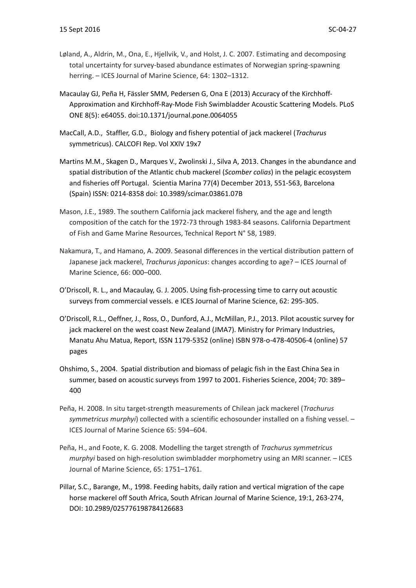- Løland, A., Aldrin, M., Ona, E., Hjellvik, V., and Holst, J. C. 2007. Estimating and decomposing total uncertainty for survey-based abundance estimates of Norwegian spring-spawning herring. – ICES Journal of Marine Science, 64: 1302–1312.
- Macaulay GJ, Peña H, Fässler SMM, Pedersen G, Ona E (2013) Accuracy of the Kirchhoff-Approximation and Kirchhoff-Ray-Mode Fish Swimbladder Acoustic Scattering Models. PLoS ONE 8(5): e64055. doi:10.1371/journal.pone.0064055
- MacCall, A.D., Staffler, G.D., Biology and fishery potential of jack mackerel (*Trachurus*  symmetricus). CALCOFI Rep. Vol XXlV 19x7
- Martins M.M., Skagen D., Marques V., Zwolinski J., Silva A, 2013. Changes in the abundance and spatial distribution of the Atlantic chub mackerel (*Scomber colias*) in the pelagic ecosystem and fisheries off Portugal. Scientia Marina 77(4) December 2013, 551-563, Barcelona (Spain) ISSN: 0214-8358 doi: 10.3989/scimar.03861.07B
- Mason, J.E., 1989. The southern California jack mackerel fishery, and the age and length composition of the catch for the 1972-73 through 1983-84 seasons. California Department of Fish and Game Marine Resources, Technical Report N° 58, 1989.
- Nakamura, T., and Hamano, A. 2009. Seasonal differences in the vertical distribution pattern of Japanese jack mackerel, *Trachurus japonicus*: changes according to age? – ICES Journal of Marine Science, 66: 000–000.
- O'Driscoll, R. L., and Macaulay, G. J. 2005. Using fish-processing time to carry out acoustic surveys from commercial vessels. e ICES Journal of Marine Science, 62: 295-305.
- O'Driscoll, R.L., Oeffner, J., Ross, O., Dunford, A.J., McMillan, P.J., 2013. Pilot acoustic survey for jack mackerel on the west coast New Zealand (JMA7). Ministry for Primary Industries, Manatu Ahu Matua, Report, ISSN 1179-5352 (online) ISBN 978-o-478-40506-4 (online) 57 pages
- Ohshimo, S., 2004. Spatial distribution and biomass of pelagic fish in the East China Sea in summer, based on acoustic surveys from 1997 to 2001. Fisheries Science, 2004; 70: 389– 400
- Peña, H. 2008. In situ target-strength measurements of Chilean jack mackerel (*Trachurus symmetricus murphyi*) collected with a scientific echosounder installed on a fishing vessel. – ICES Journal of Marine Science 65: 594–604.
- Peña, H., and Foote, K. G. 2008. Modelling the target strength of *Trachurus symmetricus murphyi* based on high-resolution swimbladder morphometry using an MRI scanner. – ICES Journal of Marine Science, 65: 1751–1761.
- Pillar, S.C., Barange, M., 1998. Feeding habits, daily ration and vertical migration of the cape horse mackerel off South Africa, South African Journal of Marine Science, 19:1, 263-274, DOI: 10.2989/025776198784126683